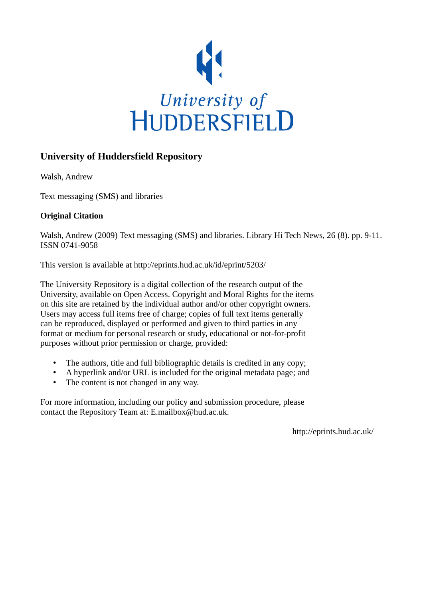

# **University of Huddersfield Repository**

Walsh, Andrew

Text messaging (SMS) and libraries

## **Original Citation**

Walsh, Andrew (2009) Text messaging (SMS) and libraries. Library Hi Tech News, 26 (8). pp. 9-11. ISSN 0741-9058

This version is available at http://eprints.hud.ac.uk/id/eprint/5203/

The University Repository is a digital collection of the research output of the University, available on Open Access. Copyright and Moral Rights for the items on this site are retained by the individual author and/or other copyright owners. Users may access full items free of charge; copies of full text items generally can be reproduced, displayed or performed and given to third parties in any format or medium for personal research or study, educational or not-for-profit purposes without prior permission or charge, provided:

- The authors, title and full bibliographic details is credited in any copy;
- A hyperlink and/or URL is included for the original metadata page; and
- The content is not changed in any way.

For more information, including our policy and submission procedure, please contact the Repository Team at: E.mailbox@hud.ac.uk.

http://eprints.hud.ac.uk/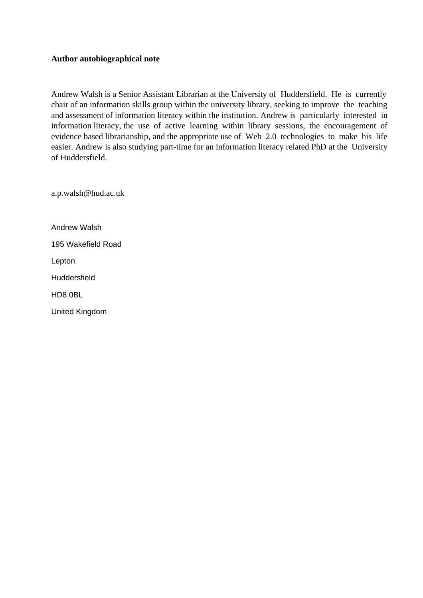#### **Author autobiographical note**

Andrew Walsh is a Senior Assistant Librarian at the University of Huddersfield. He is currently chair of an information skills group within the university library, seeking to improve the teaching and assessment of information literacy within the institution. Andrew is particularly interested in information literacy, the use of active learning within library sessions, the encouragement of evidence based librarianship, and the appropriate use of Web 2.0 technologies to make his life easier. Andrew is also studying part-time for an information literacy related PhD at the University of Huddersfield.

a.p.walsh@hud.ac.uk

Andrew Walsh

195 Wakefield Road

Lepton

Huddersfield

HD8 0BL

United Kingdom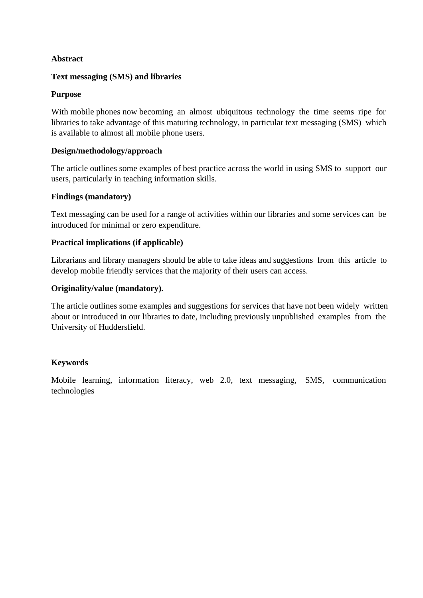## **Abstract**

## **Text messaging (SMS) and libraries**

## **Purpose**

With mobile phones now becoming an almost ubiquitous technology the time seems ripe for libraries to take advantage of this maturing technology, in particular text messaging (SMS) which is available to almost all mobile phone users.

## **Design/methodology/approach**

The article outlines some examples of best practice across the world in using SMS to support our users, particularly in teaching information skills.

## **Findings (mandatory)**

Text messaging can be used for a range of activities within our libraries and some services can be introduced for minimal or zero expenditure.

## **Practical implications (if applicable)**

Librarians and library managers should be able to take ideas and suggestions from this article to develop mobile friendly services that the majority of their users can access.

## **Originality/value (mandatory).**

The article outlines some examples and suggestions for services that have not been widely written about or introduced in our libraries to date, including previously unpublished examples from the University of Huddersfield.

#### **Keywords**

Mobile learning, information literacy, web 2.0, text messaging, SMS, communication technologies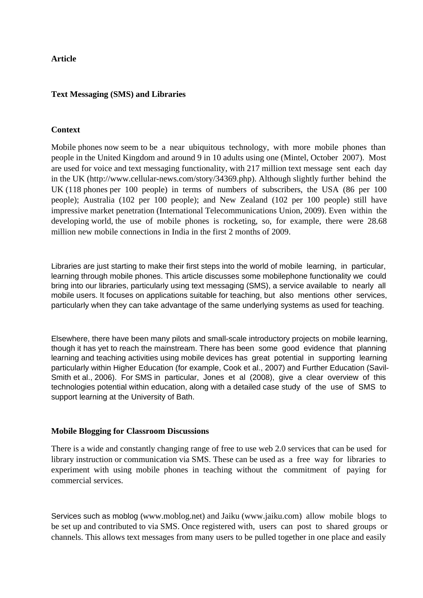## **Article**

## **Text Messaging (SMS) and Libraries**

## **Context**

Mobile phones now seem to be a near ubiquitous technology, with more mobile phones than people in the United Kingdom and around 9 in 10 adults using one (Mintel, October 2007). Most are used for voice and text messaging functionality, with 217 million text message sent each day in the UK (http://www.cellular-news.com/story/34369.php). Although slightly further behind the UK (118 phones per 100 people) in terms of numbers of subscribers, the USA (86 per 100 people); Australia (102 per 100 people); and New Zealand (102 per 100 people) still have impressive market penetration (International Telecommunications Union, 2009). Even within the developing world, the use of mobile phones is rocketing, so, for example, there were 28.68 million new mobile connections in India in the first 2 months of 2009.

Libraries are just starting to make their first steps into the world of mobile learning, in particular, learning through mobile phones. This article discusses some mobilephone functionality we could bring into our libraries, particularly using text messaging (SMS), a service available to nearly all mobile users. It focuses on applications suitable for teaching, but also mentions other services, particularly when they can take advantage of the same underlying systems as used for teaching.

Elsewhere, there have been many pilots and small-scale introductory projects on mobile learning, though it has yet to reach the mainstream. There has been some good evidence that planning learning and teaching activities using mobile devices has great potential in supporting learning particularly within Higher Education (for example, Cook et al., 2007) and Further Education (Savil-Smith et al., 2006). For SMS in particular, Jones et al (2008), give a clear overview of this technologies potential within education, along with a detailed case study of the use of SMS to support learning at the University of Bath.

#### **Mobile Blogging for Classroom Discussions**

There is a wide and constantly changing range of free to use web 2.0 services that can be used for library instruction or communication via SMS. These can be used as a free way for libraries to experiment with using mobile phones in teaching without the commitment of paying for commercial services.

Services such as moblog (www.moblog.net) and Jaiku (www.jaiku.com) allow mobile blogs to be set up and contributed to via SMS. Once registered with, users can post to shared groups or channels. This allows text messages from many users to be pulled together in one place and easily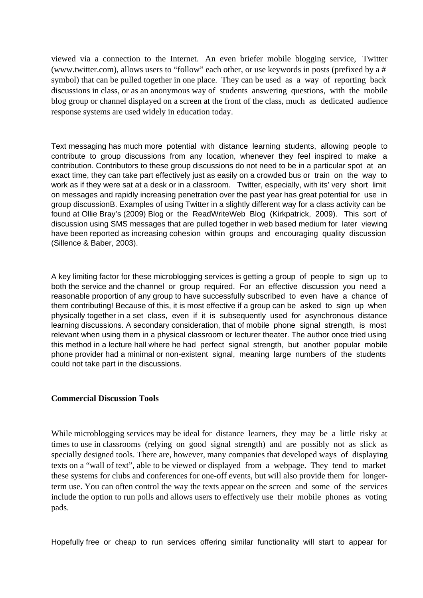viewed via a connection to the Internet. An even briefer mobile blogging service, Twitter (www.twitter.com), allows users to "follow" each other, or use keywords in posts (prefixed by a # symbol) that can be pulled together in one place. They can be used as a way of reporting back discussions in class, or as an anonymous way of students answering questions, with the mobile blog group or channel displayed on a screen at the front of the class, much as dedicated audience response systems are used widely in education today.

Text messaging has much more potential with distance learning students, allowing people to contribute to group discussions from any location, whenever they feel inspired to make a contribution. Contributors to these group discussions do not need to be in a particular spot at an exact time, they can take part effectively just as easily on a crowded bus or train on the way to work as if they were sat at a desk or in a classroom. Twitter, especially, with its' very short limit on messages and rapidly increasing penetration over the past year has great potential for use in group discussionB. Examples of using Twitter in a slightly different way for a class activity can be found at Ollie Bray's (2009) Blog or the ReadWriteWeb Blog (Kirkpatrick, 2009). This sort of discussion using SMS messages that are pulled together in web based medium for later viewing have been reported as increasing cohesion within groups and encouraging quality discussion (Sillence & Baber, 2003).

A key limiting factor for these microblogging services is getting a group of people to sign up to both the service and the channel or group required. For an effective discussion you need a reasonable proportion of any group to have successfully subscribed to even have a chance of them contributing! Because of this, it is most effective if a group can be asked to sign up when physically together in a set class, even if it is subsequently used for asynchronous distance learning discussions. A secondary consideration, that of mobile phone signal strength, is most relevant when using them in a physical classroom or lecturer theater. The author once tried using this method in a lecture hall where he had perfect signal strength, but another popular mobile phone provider had a minimal or non-existent signal, meaning large numbers of the students could not take part in the discussions.

#### **Commercial Discussion Tools**

While microblogging services may be ideal for distance learners, they may be a little risky at times to use in classrooms (relying on good signal strength) and are possibly not as slick as specially designed tools. There are, however, many companies that developed ways of displaying texts on a "wall of text", able to be viewed or displayed from a webpage. They tend to market these systems for clubs and conferences for one-off events, but will also provide them for longerterm use. You can often control the way the texts appear on the screen and some of the services include the option to run polls and allows users to effectively use their mobile phones as voting pads.

Hopefully free or cheap to run services offering similar functionality will start to appear for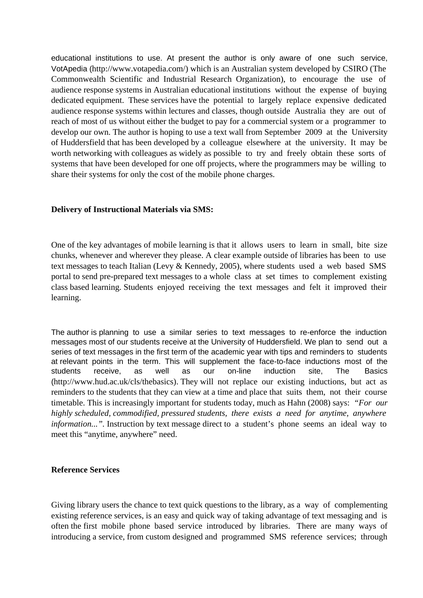educational institutions to use. At present the author is only aware of one such service, VotApedia (http://www.votapedia.com/) which is an Australian system developed by CSIRO (The Commonwealth Scientific and Industrial Research Organization), to encourage the use of audience response systems in Australian educational institutions without the expense of buying dedicated equipment. These services have the potential to largely replace expensive dedicated audience response systems within lectures and classes, though outside Australia they are out of reach of most of us without either the budget to pay for a commercial system or a programmer to develop our own. The author is hoping to use a text wall from September 2009 at the University of Huddersfield that has been developed by a colleague elsewhere at the university. It may be worth networking with colleagues as widely as possible to try and freely obtain these sorts of systems that have been developed for one off projects, where the programmers may be willing to share their systems for only the cost of the mobile phone charges.

## **Delivery of Instructional Materials via SMS:**

One of the key advantages of mobile learning is that it allows users to learn in small, bite size chunks, whenever and wherever they please. A clear example outside of libraries has been to use text messages to teach Italian (Levy & Kennedy, 2005), where students used a web based SMS portal to send pre-prepared text messages to a whole class at set times to complement existing class based learning. Students enjoyed receiving the text messages and felt it improved their learning.

The author is planning to use a similar series to text messages to re-enforce the induction messages most of our students receive at the University of Huddersfield. We plan to send out a series of text messages in the first term of the academic year with tips and reminders to students at relevant points in the term. This will supplement the face-to-face inductions most of the students receive, as well as our on-line induction site, The Basics (http://www.hud.ac.uk/cls/thebasics). They will not replace our existing inductions, but act as reminders to the students that they can view at a time and place that suits them, not their course timetable. This is increasingly important for students today, much as Hahn (2008) says: *"For our highly scheduled, commodified, pressured students, there exists a need for anytime, anywhere information...".* Instruction by text message direct to a student's phone seems an ideal way to meet this "anytime, anywhere" need.

#### **Reference Services**

Giving library users the chance to text quick questions to the library, as a way of complementing existing reference services, is an easy and quick way of taking advantage of text messaging and is often the first mobile phone based service introduced by libraries. There are many ways of introducing a service, from custom designed and programmed SMS reference services; through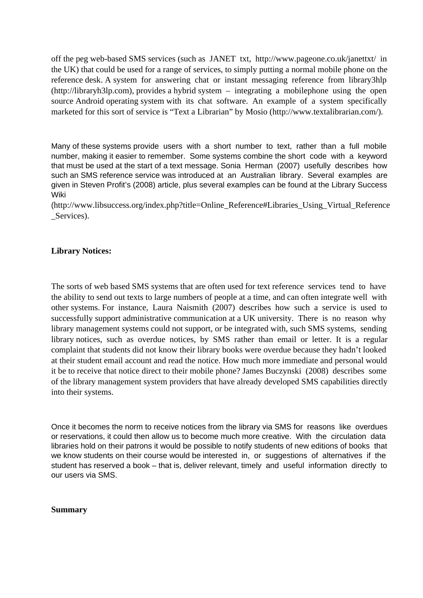off the peg web-based SMS services (such as JANET txt, http://www.pageone.co.uk/janettxt/ in the UK) that could be used for a range of services, to simply putting a normal mobile phone on the reference desk. A system for answering chat or instant messaging reference from library3hlp (http://libraryh3lp.com), provides a hybrid system – integrating a mobilephone using the open source Android operating system with its chat software. An example of a system specifically marketed for this sort of service is "Text a Librarian" by Mosio (http://www.textalibrarian.com/).

Many of these systems provide users with a short number to text, rather than a full mobile number, making it easier to remember. Some systems combine the short code with a keyword that must be used at the start of a text message. Sonia Herman (2007) usefully describes how such an SMS reference service was introduced at an Australian library. Several examples are given in Steven Profit's (2008) article, plus several examples can be found at the Library Success Wiki

(http://www.libsuccess.org/index.php?title=Online\_Reference#Libraries\_Using\_Virtual\_Reference Services).

## **Library Notices:**

The sorts of web based SMS systems that are often used for text reference services tend to have the ability to send out texts to large numbers of people at a time, and can often integrate well with other systems. For instance, Laura Naismith (2007) describes how such a service is used to successfully support administrative communication at a UK university. There is no reason why library management systems could not support, or be integrated with, such SMS systems, sending library notices, such as overdue notices, by SMS rather than email or letter.It is a regular complaint that students did not know their library books were overdue because they hadn't looked at their student email account and read the notice. How much more immediate and personal would it be to receive that notice direct to their mobile phone? James Buczynski (2008) describes some of the library management system providers that have already developed SMS capabilities directly into their systems.

Once it becomes the norm to receive notices from the library via SMS for reasons like overdues or reservations, it could then allow us to become much more creative. With the circulation data libraries hold on their patrons it would be possible to notify students of new editions of books that we know students on their course would be interested in, or suggestions of alternatives if the student has reserved a book – that is, deliver relevant, timely and useful information directly to our users via SMS.

#### **Summary**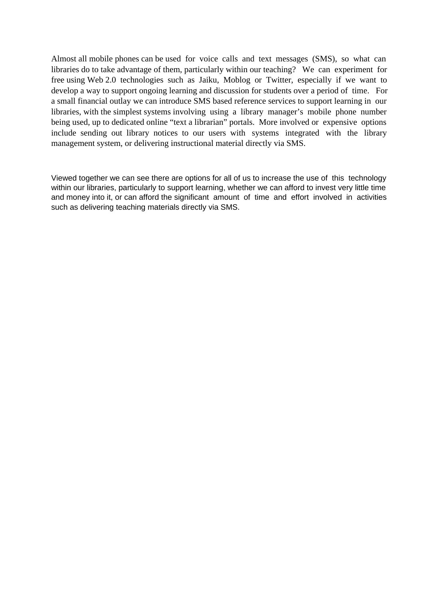Almost all mobile phones can be used for voice calls and text messages (SMS), so what can libraries do to take advantage of them, particularly within our teaching? We can experiment for free using Web 2.0 technologies such as Jaiku, Moblog or Twitter, especially if we want to develop a way to support ongoing learning and discussion for students over a period of time. For a small financial outlay we can introduce SMS based reference services to support learning in our libraries, with the simplest systems involving using a library manager's mobile phone number being used, up to dedicated online "text a librarian" portals. More involved or expensive options include sending out library notices to our users with systems integrated with the library management system, or delivering instructional material directly via SMS.

Viewed together we can see there are options for all of us to increase the use of this technology within our libraries, particularly to support learning, whether we can afford to invest very little time and money into it, or can afford the significant amount of time and effort involved in activities such as delivering teaching materials directly via SMS.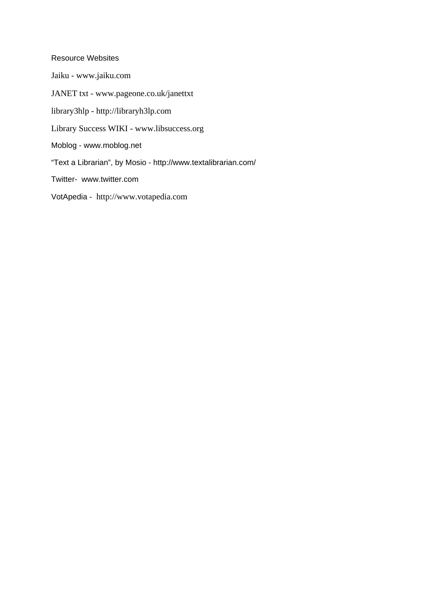#### Resource Websites

Jaiku - www.jaiku.com JANET txt - www.pageone.co.uk/janettxt library3hlp - http://libraryh3lp.com Library Success WIKI - www.libsuccess.org Moblog - www.moblog.net "Text a Librarian", by Mosio - http://www.textalibrarian.com/ Twitter- www.twitter.com VotApedia - http://www.votapedia.com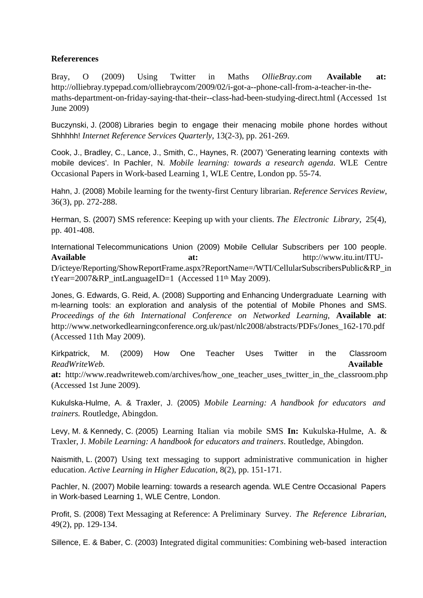## **Refererences**

Bray, O (2009) Using Twitter in Maths *OllieBray.com* **Available at:** http://olliebray.typepad.com/olliebraycom/2009/02/i-got-a--phone-call-from-a-teacher-in-themaths-department-on-friday-saying-that-their--class-had-been-studying-direct.html (Accessed 1st June 2009)

Buczynski, J. (2008) Libraries begin to engage their menacing mobile phone hordes without Shhhhh! *Internet Reference Services Quarterly*, 13(2-3), pp. 261-269.

Cook, J., Bradley, C., Lance, J., Smith, C., Haynes, R. (2007) 'Generating learning contexts with mobile devices'. In Pachler, N. *Mobile learning: towards a research agenda*. WLE Centre Occasional Papers in Work-based Learning 1, WLE Centre, London pp. 55-74.

Hahn, J. (2008) Mobile learning for the twenty-first Century librarian. *Reference Services Review*, 36(3), pp. 272-288.

Herman, S. (2007) SMS reference: Keeping up with your clients. *The Electronic Library*, 25(4), pp. 401-408.

International Telecommunications Union (2009) Mobile Cellular Subscribers per 100 people. **Available at:** http://www.itu.int/ITU-D/icteye/Reporting/ShowReportFrame.aspx?ReportName=/WTI/CellularSubscribersPublic&RP\_in tYear=2007&RP\_intLanguageID=1 (Accessed 11<sup>th</sup> May 2009).

Jones, G. Edwards, G. Reid, A. (2008) Supporting and Enhancing Undergraduate Learning with m-learning tools: an exploration and analysis of the potential of Mobile Phones and SMS. *Proceedings of the 6th International Conference on Networked Learning*, **Available at**: http://www.networkedlearningconference.org.uk/past/nlc2008/abstracts/PDFs/Jones\_162-170.pdf (Accessed 11th May 2009).

Kirkpatrick, M. (2009) How One Teacher Uses Twitter in the Classroom *ReadWriteWeb.* **Available**

**at:** http://www.readwriteweb.com/archives/how\_one\_teacher\_uses\_twitter\_in\_the\_classroom.php (Accessed 1st June 2009).

Kukulska-Hulme, A. & Traxler, J. (2005) *Mobile Learning: A handbook for educators and trainers.* Routledge, Abingdon.

Levy, M. & Kennedy, C. (2005) Learning Italian via mobile SMS **In:** Kukulska-Hulme, A. & Traxler, J. *Mobile Learning: A handbook for educators and trainers*. Routledge, Abingdon.

Naismith, L. (2007) Using text messaging to support administrative communication in higher education. *Active Learning in Higher Education*, 8(2), pp. 151-171.

Pachler, N. (2007) Mobile learning: towards a research agenda. WLE Centre Occasional Papers in Work-based Learning 1, WLE Centre, London.

Profit, S. (2008) Text Messaging at Reference: A Preliminary Survey. *The Reference Librarian*, 49(2), pp. 129-134.

Sillence, E. & Baber, C. (2003) Integrated digital communities: Combining web-based interaction